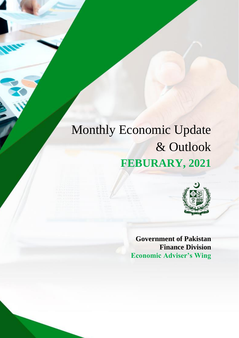# Monthly Economic Update & Outlook **FEBURARY, 2021**



**Government of Pakistan Finance Division Economic Adviser's Wing**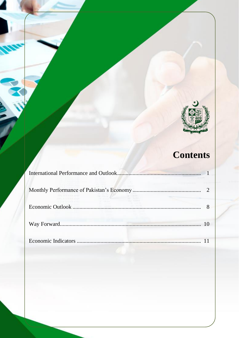

## **Contents**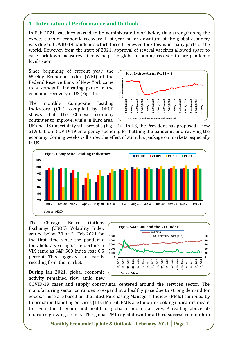## **1. International Performance and Outlook**

In Feb 2021, vaccines started to be administrated worldwide, thus strengthening the expectations of economic recovery. Last year major downturn of the global economy was due to COVID-19 pandemic which forced renewed lockdowns in many parts of the world. However, from the start of 2021, approval of several vaccines allowed space to ease lockdown measures. It may help the global economy recover to pre-pandemic levels soon.

Since beginning of current year, the Weekly Economic Index (WEI) of the Federal Reserve Bank of New York came to a standstill, indicating pause in the economic recovery in US (Fig - 1).

The monthly Composite Leading Indicators (CLI) compiled by OECD shows that the Chinese economy continues to improve, while in Euro area,



UK and US uncertainty still prevails (Fig - 2). In US, the President has proposed a new \$1.9 trillion COVID-19 emergency spending for battling the pandemic and reviving the economy. Coming weeks will show the effect of stimulus package on markets, especially in US.



The Chicago Board Options Exchange (CBOE) Volatility Index settled below 20 on 2ndFeb 2021 for the first time since the pandemic took hold a year ago. The decline in VIX came as S&P 500 Index rose 0.5 percent. This suggests that fear is receding from the market.

During Jan 2021, global economic activity remained slow amid new



COVID-19 cases and supply constraints, centered around the services sector. The manufacturing sector continues to expand at a healthy pace due to strong demand for goods. These are based on the latest Purchasing Managers' Indices (PMIs) compiled by Information Handling Services (HIS) Markit. PMIs are forward-looking indicators meant to signal the direction and health of global economic activity. A reading above 50 indicates growing activity. The global PMI edged down for a third successive month in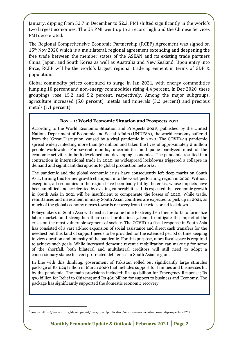January, dipping from 52.7 in December to 52.3. PMI shifted significantly in the world's two largest economies. The US PMI went up to a record high and the Chinese Services PMI decelerated.

The Regional Comprehensive Economic Partnership (RCEP) Agreement was signed on 15th Nov 2020 which is a multilateral, regional agreement extending and deepening the free trade between the member states of the ASEAN and its existing trade partners China, Japan, and South Korea as well as Australia and New Zealand. Upon entry into force, RCEP will be the world's largest regional trade agreement in terms of GDP & population.

Global commodity prices continued to surge in Jan 2021, with energy commodities jumping 10 percent and non-energy commodities rising 4.4 percent. In Dec 2020, these groupings rose 15.2 and 5.2 percent, respectively. Among the major subgroups, agriculture increased (5.0 percent), metals and minerals (3.2 percent) and precious metals (1.1 percent).

#### **Box – 1: World Economic Situation and Prospects 2021**

According to the World Economic Situation and Prospects 2021<sup>1</sup> , published by the United Nations Department of Economic and Social Affairs (UNDESA), the world economy suffered from the 'Great Disruption' caused by a viral pandemic in 2020. The COVID-19 pandemic spread widely, infecting more than 90 million and taken the lives of approximately 2 million people worldwide. For several months, uncertainties and panic paralyzed most of the economic activities in both developed and developing economies. The pandemic resulted in a contraction in international trade in 2020, as widespread lockdowns triggered a collapse in demand and significant disruptions to global production networks.

The pandemic and the global economic crisis have consequently left deep marks on South Asia, turning this former growth champion into the worst performing region in 2020. Without exception, all economies in the region have been badly hit by the crisis, whose impacts have been amplified and accelerated by existing vulnerabilities. It is expected that economic growth in South Asia in 2021 will be insufficient to compensate the losses of 2020. While trade, remittances and investment in many South Asian countries are expected to pick up in 2021, as much of the global economy moves towards recovery from the widespread lockdown.

Policymakers in South Asia will need at the same time to strengthen their efforts to formalize labor markets and strengthen their social protection systems to mitigate the impact of the crisis on the most vulnerable segment of society. The COVID-19 fiscal response in South Asia has consisted of a vast ad-hoc expansion of social assistance and direct cash transfers for the neediest but this kind of support needs to be provided for the extended period of time keeping in view duration and intensity of the pandemic. For this purpose, more fiscal space is required to achieve such goals. While increased domestic revenue mobilization can make up for some of the shortfall, both bilateral and multilateral creditors will still need to adopt a concessionary stance to avert protracted debt crises in South Asian region.

In line with this thinking, government of Pakistan rolled out significantly large stimulus package of Rs 1.24 trillion in March 2020 that includes support for families and businesses hit by the pandemic. The main provisions included: Rs 190 billion for Emergency Response; Rs 570 billion for Relief to Citizens; and Rs 480 billion for support to business and Economy. The package has significantly supported the domestic economic recovery.

<sup>1</sup>Source: https://www.un.org/development/desa/dpad/publication/world-economic-situation-and-prospects-2021/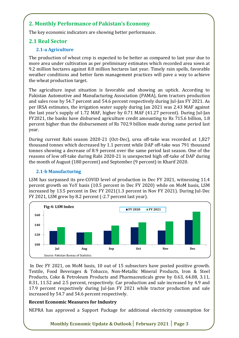## **2. Monthly Performance of Pakistan's Economy**

The key economic indicators are showing better performance.

### **2.1 Real Sector**

#### **2.1-a Agriculture**

The production of wheat crop is expected to be better as compared to last year due to more area under cultivation as per preliminary estimates which recorded area sown at 9.2 million hectares against 8.8 million hectares last year. Timely rain spells, favorable weather conditions and better farm management practices will pave a way to achieve the wheat production target.

The agriculture input situation is favorable and showing an uptick. According to Pakistan Automotive and Manufacturing Association (PAMA), farm tractors production and sales rose by 54.7 percent and 54.6 percent respectively during Jul-Jan FY 2021. As per IRSA estimates, the irrigation water supply during Jan 2021 was 2.43 MAF against the last year's supply of 1.72 MAF, higher by 0.71 MAF (41.27 percent). During Jul-Jan FY2021, the banks have disbursed agriculture credit amounting to Rs 715.6 billion, 1.8 percent higher than the disbursement of Rs 702.9 billion made during same period last year.

During current Rabi season 2020-21 (Oct-Dec), urea off-take was recorded at 1,827 thousand tonnes which decreased by 1.1 percent while DAP off-take was 791 thousand tonnes showing a decrease of 8.9 percent over the same period last season. One of the reasons of low off-take during Rabi 2020-21 is unexpected high off-take of DAP during the month of August (180 percent) and September (9 percent) in Kharif 2020.

#### **2.1-b Manufacturing**

LSM has surpassed its pre-COVID level of production in Dec FY 2021, witnessing 11.4 percent growth on YoY basis (10.5 percent in Dec FY 2020) while on MoM basis, LSM increased by 13.5 percent in Dec FY 2021(1.3 percent in Nov FY 2021). During Jul-Dec FY 2021, LSM grew by 8.2 percent (-2.7 percent last year).



In Dec FY 2021, on MoM basis, 10 out of 15 subsectors have posted positive growth. Textile, Food Beverages & Tobacco, Non-Metallic Mineral Products, Iron & Steel Products, Coke & Petroleum Products and Pharmaceuticals grew by 0.63, 64.08, 3.11, 8.31, 11.52 and 2.5 percent, respectively. Car production and sale increased by 4.9 and 17.9 percent respectively during Jul-Jan FY 2021 while tractor production and sale increased by 54.7 and 54.6 percent respectively.

#### **Recent Economic Measures for Industry**

NEPRA has approved a Support Package for additional electricity consumption for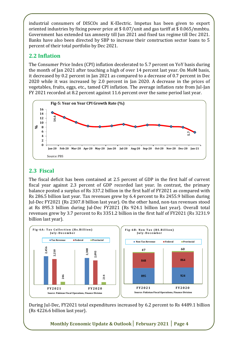industrial consumers of DISCOs and K-Electric. Impetus has been given to export oriented industries by fixing power price at \$ 0.07/unit and gas tariff at \$ 0.065/mmbtu. Government has extended tax amnesty till Jun 2021 and fixed tax regime till Dec 2021. Banks have also been directed by SBP to increase their construction sector loans to 5 percent of their total portfolio by Dec 2021.

## **2.2 Inflation**

The Consumer Price Index (CPI) inflation decelerated to 5.7 percent on YoY basis during the month of Jan 2021 after touching a high of over 14 percent last year. On MoM basis, it decreased by 0.2 percent in Jan 2021 as compared to a decrease of 0.7 percent in Dec 2020 while it was increased by 2.0 percent in Jan 2020. A decrease in the prices of vegetables, fruits, eggs, etc., tamed CPI inflation. The average inflation rate from Jul-Jan FY 2021 recorded at 8.2 percent against 11.6 percent over the same period last year.



## **2.3 Fiscal**

The fiscal deficit has been contained at 2.5 percent of GDP in the first half of current fiscal year against 2.3 percent of GDP recorded last year. In contrast, the primary balance posted a surplus of Rs 337.2 billion in the first half of FY2021 as compared with Rs 286.5 billion last year. Tax revenues grew by 6.4 percent to Rs 2455.9 billion during Jul-Dec FY2021 (Rs 2307.8 billion last year). On the other hand, non-tax revenues stood at Rs 895.3 billion during Jul-Dec FY2021 (Rs 924.1 billion last year). Overall total revenues grew by 3.7 percent to Rs 3351.2 billion in the first half of FY2021 (Rs 3231.9 billion last year).



During Jul-Dec, FY2021 total expenditures increased by 6.2 percent to Rs 4489.1 billion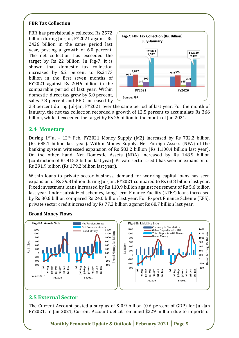#### **FBR Tax Collection**

FBR has provisionally collected Rs 2572 billion during Jul-Jan, FY2021 against Rs 2426 billion in the same period last year, posting a growth of 6.0 percent. The net collection has exceeded the target by Rs 22 billion. In Fig-7, it is shown that domestic tax collection increased by 6.2 percent to Rs2173 billion in the first seven months of FY2021 against Rs 2046 billion in the comparable period of last year. Within domestic, direct tax grew by 5.0 percent, sales 7.8 percent and FED increased by



2.8 percent during Jul-Jan, FY2021 over the same period of last year. For the month of January, the net tax collection recorded a growth of 12.5 percent to accumulate Rs 366 billion, while it exceeded the target by Rs 26 billion in the month of Jan 2021.

## **2.4 Monetary**

During  $1$ <sup>st</sup>Jul –  $12$ <sup>th</sup> Feb, FY2021 Money Supply (M2) increased by Rs 732.2 billion (Rs 685.1 billion last year). Within Money Supply, Net Foreign Assets (NFA) of the banking system witnessed expansion of Rs 583.2 billion (Rs 1,100.4 billion last year). On the other hand, Net Domestic Assets (NDA) increased by Rs 148.9 billion (contraction of Rs 415.3 billion last year). Private sector credit has seen an expansion of Rs 291.9 billion (Rs 179.2 billion last year).

Within loans to private sector business, demand for working capital loans has seen expansion of Rs 39.8 billion during Jul-Jan, FY2021 compared to Rs 63.8 billion last year. Fixed investment loans increased by Rs 110.9 billion against retirement of Rs 5.6 billion last year. Under subsidized schemes, Long Term Finance Facility (LTFF) loans increased by Rs 80.6 billion compared Rs 24.0 billion last year. For Export Finance Scheme (EFS), private sector credit increased by Rs 77.2 billion against Rs 68.7 billion last year.

#### **Broad Money Flows**



## **2.5 External Sector**

The Current Account posted a surplus of \$ 0.9 billion (0.6 percent of GDP) for Jul-Jan FY2021. In Jan 2021, Current Account deficit remained \$229 million due to imports of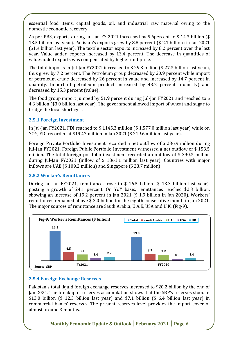essential food items, capital goods, oil, and industrial raw material owing to the domestic economic recovery.

As per PBS, exports during Jul-Jan FY 2021 increased by 5.6percent to \$ 14.3 billion (\$ 13.5 billion last year). Pakistan's exports grew by 8.8 percent (\$ 2.1 billion) in Jan 2021 (\$1.9 billion last year). The textile sector exports increased by 8.2 percent over the last year. Value added exports increased by 13.4 percent. The decrease in quantities of value-added exports was compensated by higher unit price.

The total imports in Jul-Jan FY2021 increased to \$ 29.3 billion (\$ 27.3 billion last year), thus grew by 7.2 percent. The Petroleum group decreased by 20.9 percent while import of petroleum crude decreased by 26 percent in value and increased by 14.7 percent in quantity. Import of petroleum product increased by 43.2 percent (quantity) and decreased by 15.3 percent (value).

The food group import jumped by 51.9 percent during Jul-Jan FY2021 and reached to \$ 4.6 billion (\$3.0 billion last year). The government allowed import of wheat and sugar to bridge the local shortages.

#### **2.5.1 Foreign Investment**

In Jul-Jan FY2021, FDI reached to \$ 1145.3 million (\$ 1,577.0 million last year) while on YOY, FDI recorded at \$192.7 million in Jan 2021 (\$ 219.6 million last year).

Foreign Private Portfolio Investment recorded a net outflow of \$ 236.9 million during Jul-Jan FY2021. Foreign Public Portfolio Investment witnessed a net outflow of \$ 153.5 million. The total foreign portfolio investment recorded an outflow of \$ 390.3 million during Jul-Jan FY2021 (inflow of \$ 1861.1 million last year). Countries with major inflows are UAE (\$ 109.2 million) and Singapore (\$ 23.7 million).

#### **2.5.2 Worker's Remittances**

During Jul-Jan FY2021, remittances rose to \$ 16.5 billion (\$ 13.3 billion last year), posting a growth of 24.1 percent. On YoY basis, remittances reached \$2.3 billion, showing an increase of 19.2 percent in Jan 2021 (\$ 1.9 billion in Jan 2020). Workers' remittances remained above \$ 2.0 billion for the eighth consecutive month in Jan 2021. The major sources of remittance are Saudi Arabia, U.A.E, USA and U.K, (Fig-9).



#### **2.5.4 Foreign Exchange Reserves**

Pakistan's total liquid foreign exchange reserves increased to \$20.2 billion by the end of Jan 2021. The breakup of reserves accumulation shows that the SBP's reserves stood at \$13.0 billion (\$ 12.3 billion last year) and \$7.1 billion (\$ 6.4 billion last year) in commercial banks' reserves. The present reserves level provides the import cover of almost around 3 months.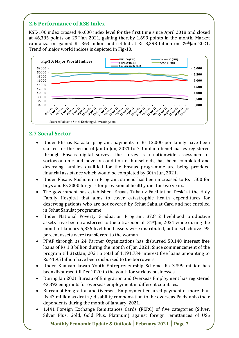## **2.6 Performance of KSE Index**

KSE-100 index crossed 46,000 index level for the first time since April 2018 and closed at 46,385 points on 29<sup>th</sup>Jan 2021, gaining thereby 1,699 points in the month. Market capitalization gained Rs 363 billion and settled at Rs 8,398 billion on  $29<sup>th</sup>$  Jan 2021. Trend of major world indices is depicted in Fig-10.



## **2.7 Social Sector**

- Under Ehsaas Kafaalat program, payments of Rs 12,000 per family have been started for the period of Jan to Jun, 2021 to 7.0 million beneficiaries registered through Ehsaas digital survey. The survey is a nationwide assessment of socioeconomic and poverty condition of households, has been completed and deserving families qualified for the Ehsaas programme are being provided financial assistance which would be completed by 30th Jun, 2021**.**
- Under Ehsaas Nashonuma Program, stipend has been increased to Rs 1500 for boys and Rs 2000 for girls for provision of healthy diet for two years.
- The government has established 'Ehsaas Tahafuz Facilitation Desk' at the Holy Family Hospital that aims to cover catastrophic health expenditures for deserving patients who are not covered by Sehat Sahulat Card and not enrolled in Sehat Sahulat programme.
- Under National Poverty Graduation Program, 37,812 livelihood productive assets have been transferred to the ultra-poor till 31<sup>st</sup>Jan, 2021 while during the month of January 5,826 livelihood assets were distributed, out of which over 95 percent assets were transferred to the woman.
- PPAF through its 24 Partner Organizations has disbursed 50,140 interest free loans of Rs 1.8 billion during the month of Jan 2021. Since commencement of the program till 31stJan, 2021 a total of 1,191,734 interest free loans amounting to Rs 41.95 billion have been disbursed to the borrowers.
- Under Kamyab Jawan Youth Entrepreneurship Scheme, Rs 3,399 million has been disbursed till Dec 2020 to the youth for various businesses.
- During Jan 2021 Bureau of Emigration and Overseas Employment has registered 43,393 emigrants for overseas employment in different countries.
- Bureau of Emigration and Overseas Employment ensured payment of more than Rs 43 million as death / disability compensation to the overseas Pakistanis/their dependents during the month of January, 2021.
- 1,441 Foreign Exchange Remittances Cards (FERC) of five categories (Silver, Silver Plus, Gold, Gold Plus, Platinum) against foreign remittances of US\$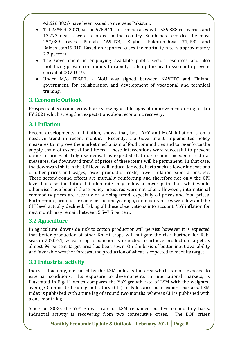43,626,382/- have been issued to overseas Pakistan.

- Till 25thFeb 2021, so far 575,941 confirmed cases with 539,888 recoveries and 12,772 deaths were recorded in the country. Sindh has recorded the most 257,089 cases, Punjab 169,474, Khyber Pakhtunkhwa 71,490 and Balochistan19,010. Based on reported cases the mortality rate is approximately 2.2 percent.
- The Government is employing available public sector resources and also mobilizing private community to rapidly scale up the health system to prevent spread of COVID-19.
- Under M/o FE&PT, a MoU was signed between NAVTTC and Finland government, for collaboration and development of vocational and technical training.

## **3. Economic Outlook**

Prospects of economic growth are showing visible signs of improvement during Jul-Jan FY 2021 which strengthen expectations about economic recovery.

## **3.1 Inflation**

Recent developments in inflation, shows that, both YoY and MoM inflation is on a negative trend in recent months. Recently, the Government implemented policy measures to improve the market mechanism of food commodities and to re-enforce the supply chain of essential food items. These interventions were successful to prevent uptick in prices of daily use items. It is expected that due to much needed structural measures, the downward trend of prices of these items will be permanent. In that case, the downward shift in the CPI level will induce derived effects such as lower indexations of other prices and wages, lower production costs, lower inflation expectations, etc. These second-round effects are mutually reinforcing and therefore not only the CPI level but also the future inflation rate may follow a lower path than what would otherwise have been if these policy measures were not taken. However, international commodity prices are recently on a rising trend, especially oil prices and food prices. Furthermore, around the same period one year ago, commodity prices were low and the CPI level actually declined. Taking all these observations into account, YoY inflation for next month may remain between 5.5−7.5 percent.

## **3.2 Agriculture**

In agriculture, downside risk to cotton production still persist, however it is expected that better production of other Kharif crops will mitigate the risk. Further, for Rabi season 2020-21, wheat crop production is expected to achieve production target as almost 99 percent target area has been sown. On the basis of better input availability and favorable weather forecast, the production of wheat is expected to meet its target.

## **3.3 Industrial activity**

Industrial activity, measured by the LSM index is the area which is most exposed to external conditions. Its exposure to developments in international markets, is illustrated in Fig-11 which compares the YoY growth rate of LSM with the weighted average Composite Leading Indicators (CLI) in Pakistan's main export markets. LSM index is published with a time lag of around two months, whereas CLI is published with a one-month lag.

Since Jul 2020, the YoY growth rate of LSM remained positive on monthly basis. Industrial activity is recovering from two consecutive crises. The BOP crises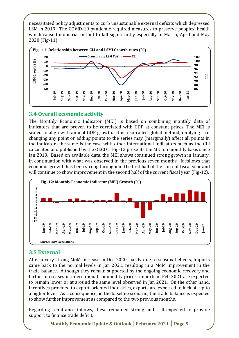necessitated policy adjustments to curb unsustainable external deficits which depressed LSM in 2019. The COVID-19 pandemic required measures to preserve peoples' health which caused industrial output to fall significantly especially in March, April and May 2020 (Fig-11).



#### **3.4 Overall economic activity**

The Monthly Economic Indicator (MEI) is based on combining monthly data of indicators that are proven to be correlated with GDP at constant prices. The MEI is scaled to align with annual GDP growth. It is a so-called global method, implying that changing any point or adding points to the series may (marginally) affect all points in the indicator (the same is the case with other international indicators such as the CLI calculated and published by the OECD). Fig-12 presents the MEI on monthly basis since Jan 2019. Based on available data, the MEI shows continued strong growth in January, in continuation with what was observed in the previous seven months. It follows that economic growth has been strong throughout the first half of the current fiscal year and will continue to show improvement in the second half of the current fiscal year (Fig-12).



## **3.5 External**

After a very strong MoM increase in Dec 2020, partly due to seasonal effects, imports came back to the normal levels in Jan 2021, resulting in a MoM improvement in the trade balance. Although they remain supported by the ongoing economic recovery and further increases in international commodity prices, imports in Feb 2021 are expected to remain lower or at around the same level observed in Jan 2021. On the other hand, incentives provided to export-oriented industries, exports are expected to kick off up to a higher level. As a consequence, in the baseline scenario, the trade balance is expected to show further improvement as compared to the two previous months.

Regarding remittance inflows, these remained strong and still expected to provide support to finance trade deficit.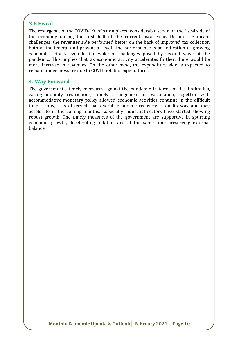#### **3.6 Fiscal**

The resurgence of the COVID-19 infection placed considerable strain on the fiscal side of the economy during the first half of the current fiscal year. Despite significant challenges, the revenues side performed better on the back of improved tax collection both at the federal and provincial level. The performance is an indication of growing economic activity even in the wake of challenges posed by second wave of the pandemic. This implies that, as economic activity accelerates further, there would be more increase in revenues. On the other hand, the expenditure side is expected to remain under pressure due to COVID related expenditures.

#### **4. Way Forward**

The government's timely measures against the pandemic in terms of fiscal stimulus, easing mobility restrictions, timely arrangement of vaccination, together with accommodative monetary policy allowed economic activities continue in the difficult time. Thus, it is observed that overall economic recovery is on its way and may accelerate in the coming months. Especially industrial sectors have started showing robust growth. The timely measures of the government are supportive in spurring economic growth, decelerating inflation and at the same time preserving external balance.

**\_\_\_\_\_\_\_\_\_\_\_\_\_\_\_\_\_\_\_\_\_\_\_\_\_\_\_\_\_\_\_\_\_\_**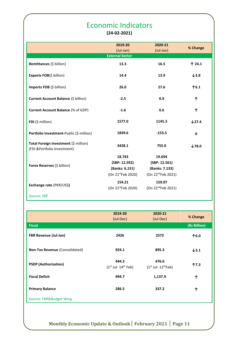## Economic Indicators

**(24-02-2021)**

|                                                                       | 2019-20<br>(Jul-Jan)<br><b>External Sector</b>                              | 2020-21<br>(Jul-Jan)                                                        | % Change          |
|-----------------------------------------------------------------------|-----------------------------------------------------------------------------|-----------------------------------------------------------------------------|-------------------|
| Remittances (\$ billion)                                              | 13.3                                                                        | 16.5                                                                        | 个 24.1            |
| Exports FOB(\$ billion)                                               | 14.4                                                                        | 13.9                                                                        | $+3.8$            |
| Imports FOB (\$ billion)                                              | 26.0                                                                        | 27.6                                                                        | 个6.1              |
| Current Account Balance (\$ billion)                                  | $-2.5$                                                                      | 0.9                                                                         | 个                 |
| <b>Current Account Balance (% of GDP)</b>                             | $-1.6$                                                                      | 0.6                                                                         | 个                 |
| FDI (\$ million)                                                      | 1577.0                                                                      | 1145.3                                                                      | $\downarrow$ 27.4 |
| Portfolio Investment-Public (\$ million)                              | 1839.6                                                                      | $-153.5$                                                                    | ↓                 |
| Total Foreign Investment (\$ million)<br>(FDI & Portfolio Investment) | 3438.1                                                                      | 755.0                                                                       | $\downarrow$ 78.0 |
| Forex Reserves (\$ billion)                                           | 18.743<br>(SBP: 12.592)<br>(Banks: 6.151)<br>(On 21 <sup>st</sup> Feb 2020) | 19.694<br>(SBP: 12.561)<br>(Banks: 7.133)<br>(On 22 <sup>nd</sup> Feb 2021) |                   |
| Exchange rate (PKR/US\$)                                              | 154.21<br>(On 21 <sup>st</sup> Feb 2020)                                    | 159.07<br>(On 22 <sup>nd</sup> Feb 2021)                                    |                   |
| Source: SBP                                                           |                                                                             |                                                                             |                   |

|                                | 2019-20<br>(Jul-Dec)             | 2020-21<br>(Jul-Dec)             | % Change         |
|--------------------------------|----------------------------------|----------------------------------|------------------|
| <b>Fiscal</b>                  |                                  |                                  | (Rs Billion)     |
| <b>FBR Revenue (Jul-Jan)</b>   | 2426                             | 2572                             | 个6.0             |
| Non-Tax Revenue (Consolidated) | 924.1                            | 895.3                            | $\downarrow$ 3.1 |
| <b>PSDP</b> (Authorization)    | 444.3<br>$(1st$ Jul- $14th$ Feb) | 476.6<br>$(1st$ Jul- $12th$ Feb) | 个7.3             |
| <b>Fiscal Deficit</b>          | 994.7                            | 1,137.9                          | 个                |
| <b>Primary Balance</b>         | 286.5                            | 337.2                            | 个                |
| Source: FBR&Budget Wing        |                                  |                                  |                  |